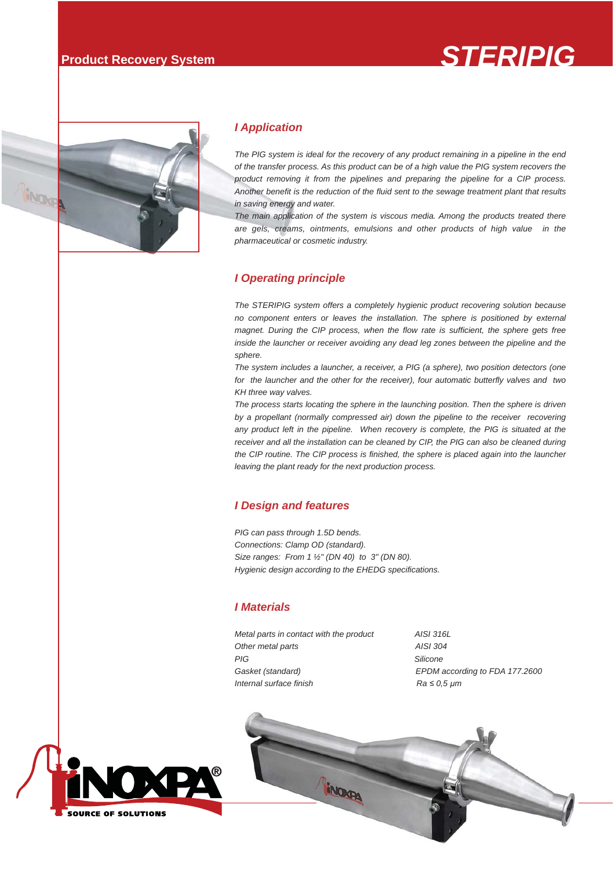# **Product Recovery System** *STERIPIG*



#### *I Application*

*The PIG system is ideal for the recovery of any product remaining in a pipeline in the end of the transfer process. As this product can be of a high value the PIG system recovers the product removing it from the pipelines and preparing the pipeline for a CIP process. Another benefit is the reduction of the fluid sent to the sewage treatment plant that results in saving energy and water.*

*The main application of the system is viscous media. Among the products treated there are gels, creams, ointments, emulsions and other products of high value in the pharmaceutical or cosmetic industry.* 

#### *I Operating principle*

*The STERIPIG system offers a completely hygienic product recovering solution because no component enters or leaves the installation. The sphere is positioned by external magnet. During the CIP process, when the flow rate is sufficient, the sphere gets free inside the launcher or receiver avoiding any dead leg zones between the pipeline and the sphere.* 

*The system includes a launcher, a receiver, a PIG (a sphere), two position detectors (one for the launcher and the other for the receiver), four automatic butterfly valves and two KH three way valves.*

*The process starts locating the sphere in the launching position. Then the sphere is driven by a propellant (normally compressed air) down the pipeline to the receiver recovering*  any product left in the pipeline. When recovery is complete, the PIG is situated at the receiver and all the installation can be cleaned by CIP, the PIG can also be cleaned during *the CIP routine. The CIP process is finished, the sphere is placed again into the launcher leaving the plant ready for the next production process.*

#### *I Design and features*

*PIG can pass through 1.5D bends. Connections: Clamp OD (standard). Size ranges: From 1 ½" (DN 40) to 3" (DN 80). Hygienic design according to the EHEDG specifications.*

#### *I Materials*

*Metal parts in contact with the product AISI 316L Other metal parts AISI 304 PIG Silicone Gasket (standard) EPDM according to FDA 177.2600 Internal surface finish Ra* ≤ 0,5  $\mu$ *m*